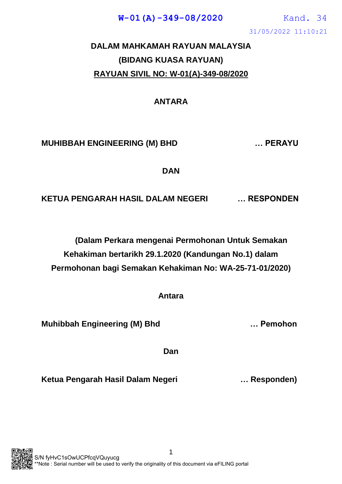31/05/2022 11:10:21 **W-01(A)-349-08/2020** Kand. 34

## **DALAM MAHKAMAH RAYUAN MALAYSIA (BIDANG KUASA RAYUAN) RAYUAN SIVIL NO: W-01(A)-349-08/2020**

#### **ANTARA**

#### **MUHIBBAH ENGINEERING (M) BHD … PERAYU**

**DAN**

**KETUA PENGARAH HASIL DALAM NEGERI … RESPONDEN**

**(Dalam Perkara mengenai Permohonan Untuk Semakan Kehakiman bertarikh 29.1.2020 (Kandungan No.1) dalam Permohonan bagi Semakan Kehakiman No: WA-25-71-01/2020)**

**Antara**

**Muhibbah Engineering (M) Bhd … Pemohon**

**Dan**

**Ketua Pengarah Hasil Dalam Negeri … Responden)**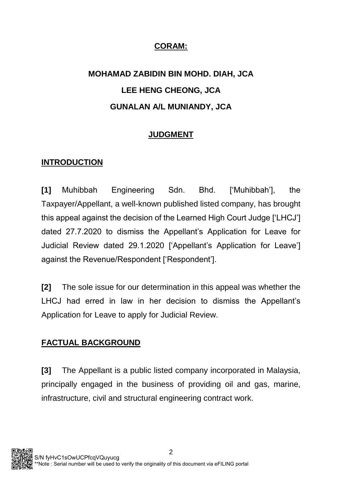#### **CORAM:**

# **MOHAMAD ZABIDIN BIN MOHD. DIAH, JCA LEE HENG CHEONG, JCA GUNALAN A/L MUNIANDY, JCA**

### **JUDGMENT**

#### **INTRODUCTION**

**[1]** Muhibbah Engineering Sdn. Bhd. ['Muhibbah'], the Taxpayer/Appellant, a well-known published listed company, has brought this appeal against the decision of the Learned High Court Judge ['LHCJ'] dated 27.7.2020 to dismiss the Appellant's Application for Leave for Judicial Review dated 29.1.2020 ['Appellant's Application for Leave'] against the Revenue/Respondent ['Respondent'].

**[2]** The sole issue for our determination in this appeal was whether the LHCJ had erred in law in her decision to dismiss the Appellant's Application for Leave to apply for Judicial Review.

#### **FACTUAL BACKGROUND**

**[3]** The Appellant is a public listed company incorporated in Malaysia, principally engaged in the business of providing oil and gas, marine, infrastructure, civil and structural engineering contract work.

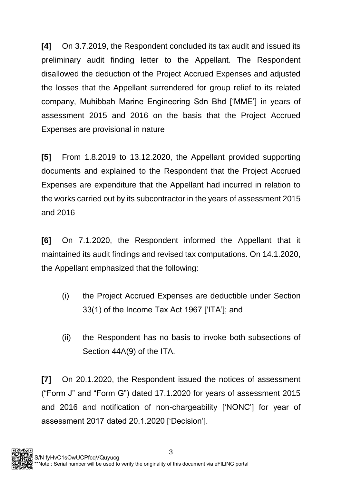**[4]** On 3.7.2019, the Respondent concluded its tax audit and issued its preliminary audit finding letter to the Appellant. The Respondent disallowed the deduction of the Project Accrued Expenses and adjusted the losses that the Appellant surrendered for group relief to its related company, Muhibbah Marine Engineering Sdn Bhd ['MME'] in years of assessment 2015 and 2016 on the basis that the Project Accrued Expenses are provisional in nature

**[5]** From 1.8.2019 to 13.12.2020, the Appellant provided supporting documents and explained to the Respondent that the Project Accrued Expenses are expenditure that the Appellant had incurred in relation to the works carried out by its subcontractor in the years of assessment 2015 and 2016

**[6]** On 7.1.2020, the Respondent informed the Appellant that it maintained its audit findings and revised tax computations. On 14.1.2020, the Appellant emphasized that the following:

- (i) the Project Accrued Expenses are deductible under Section 33(1) of the Income Tax Act 1967 ['ITA']; and
- (ii) the Respondent has no basis to invoke both subsections of Section 44A(9) of the ITA.

**[7]** On 20.1.2020, the Respondent issued the notices of assessment ("Form J" and "Form G") dated 17.1.2020 for years of assessment 2015 and 2016 and notification of non-chargeability ['NONC'] for year of assessment 2017 dated 20.1.2020 ['Decision'].

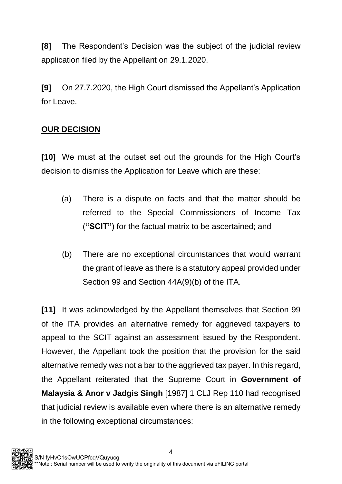**[8]** The Respondent's Decision was the subject of the judicial review application filed by the Appellant on 29.1.2020.

**[9]** On 27.7.2020, the High Court dismissed the Appellant's Application for Leave.

### **OUR DECISION**

**[10]** We must at the outset set out the grounds for the High Court's decision to dismiss the Application for Leave which are these:

- (a) There is a dispute on facts and that the matter should be referred to the Special Commissioners of Income Tax (**"SCIT"**) for the factual matrix to be ascertained; and
- (b) There are no exceptional circumstances that would warrant the grant of leave as there is a statutory appeal provided under Section 99 and Section 44A(9)(b) of the ITA.

**[11]** It was acknowledged by the Appellant themselves that Section 99 of the ITA provides an alternative remedy for aggrieved taxpayers to appeal to the SCIT against an assessment issued by the Respondent. However, the Appellant took the position that the provision for the said alternative remedy was not a bar to the aggrieved tax payer. In this regard, the Appellant reiterated that the Supreme Court in **Government of Malaysia & Anor v Jadgis Singh** [1987] 1 CLJ Rep 110 had recognised that judicial review is available even where there is an alternative remedy in the following exceptional circumstances:

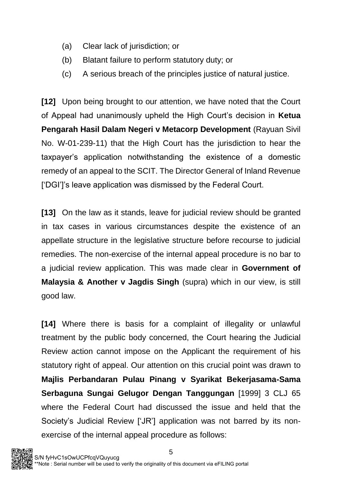- (a) Clear lack of jurisdiction; or
- (b) Blatant failure to perform statutory duty; or
- (c) A serious breach of the principles justice of natural justice.

**[12]** Upon being brought to our attention, we have noted that the Court of Appeal had unanimously upheld the High Court's decision in **Ketua Pengarah Hasil Dalam Negeri v Metacorp Development** (Rayuan Sivil No. W-01-239-11) that the High Court has the jurisdiction to hear the taxpayer's application notwithstanding the existence of a domestic remedy of an appeal to the SCIT. The Director General of Inland Revenue ['DGI']'s leave application was dismissed by the Federal Court.

**[13]** On the law as it stands, leave for judicial review should be granted in tax cases in various circumstances despite the existence of an appellate structure in the legislative structure before recourse to judicial remedies. The non-exercise of the internal appeal procedure is no bar to a judicial review application. This was made clear in **Government of Malaysia & Another v Jagdis Singh** (supra) which in our view, is still good law.

**[14]** Where there is basis for a complaint of illegality or unlawful treatment by the public body concerned, the Court hearing the Judicial Review action cannot impose on the Applicant the requirement of his statutory right of appeal. Our attention on this crucial point was drawn to **Majlis Perbandaran Pulau Pinang v Syarikat Bekerjasama-Sama Serbaguna Sungai Gelugor Dengan Tanggungan** [1999] 3 CLJ 65 where the Federal Court had discussed the issue and held that the Society's Judicial Review ['JR'] application was not barred by its nonexercise of the internal appeal procedure as follows:

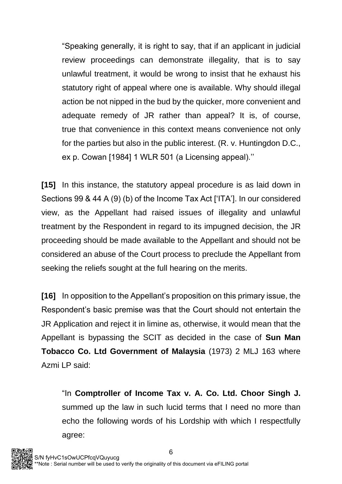"Speaking generally, it is right to say, that if an applicant in judicial review proceedings can demonstrate illegality, that is to say unlawful treatment, it would be wrong to insist that he exhaust his statutory right of appeal where one is available. Why should illegal action be not nipped in the bud by the quicker, more convenient and adequate remedy of JR rather than appeal? It is, of course, true that convenience in this context means convenience not only for the parties but also in the public interest. (R. v. Huntingdon D.C., ex p. Cowan [1984] 1 WLR 501 (a Licensing appeal).''

**[15]** In this instance, the statutory appeal procedure is as laid down in Sections 99 & 44 A (9) (b) of the Income Tax Act ['ITA']. In our considered view, as the Appellant had raised issues of illegality and unlawful treatment by the Respondent in regard to its impugned decision, the JR proceeding should be made available to the Appellant and should not be considered an abuse of the Court process to preclude the Appellant from seeking the reliefs sought at the full hearing on the merits.

**[16]** In opposition to the Appellant's proposition on this primary issue, the Respondent's basic premise was that the Court should not entertain the JR Application and reject it in limine as, otherwise, it would mean that the Appellant is bypassing the SCIT as decided in the case of **Sun Man Tobacco Co. Ltd Government of Malaysia** (1973) 2 MLJ 163 where Azmi LP said:

"In **Comptroller of Income Tax v. A. Co. Ltd. Choor Singh J.** summed up the law in such lucid terms that I need no more than echo the following words of his Lordship with which I respectfully agree:

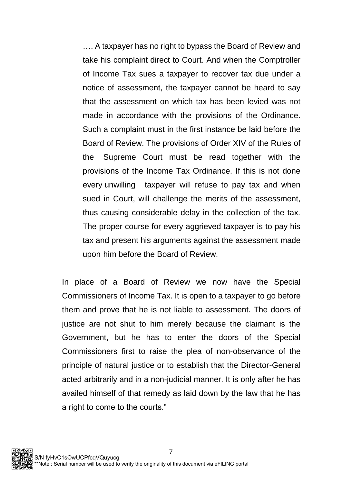…. A taxpayer has no right to bypass the Board of Review and take his complaint direct to Court. And when the Comptroller of Income Tax sues a taxpayer to recover tax due under a notice of assessment, the taxpayer cannot be heard to say that the assessment on which tax has been levied was not made in accordance with the provisions of the Ordinance. Such a complaint must in the first instance be laid before the Board of Review. The provisions of Order XIV of the Rules of the Supreme Court must be read together with the provisions of the Income Tax Ordinance. If this is not done every unwilling taxpayer will refuse to pay tax and when sued in Court, will challenge the merits of the assessment, thus causing considerable delay in the collection of the tax. The proper course for every aggrieved taxpayer is to pay his tax and present his arguments against the assessment made upon him before the Board of Review.

In place of a Board of Review we now have the Special Commissioners of Income Tax. It is open to a taxpayer to go before them and prove that he is not liable to assessment. The doors of justice are not shut to him merely because the claimant is the Government, but he has to enter the doors of the Special Commissioners first to raise the plea of non-observance of the principle of natural justice or to establish that the Director-General acted arbitrarily and in a non-judicial manner. It is only after he has availed himself of that remedy as laid down by the law that he has a right to come to the courts."

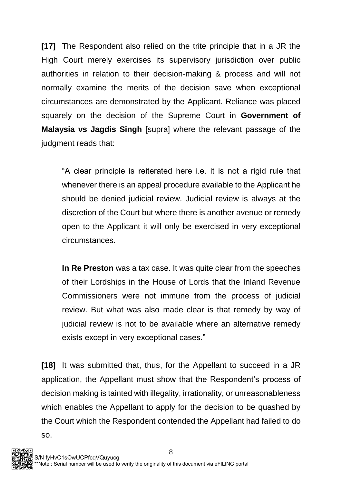**[17]** The Respondent also relied on the trite principle that in a JR the High Court merely exercises its supervisory jurisdiction over public authorities in relation to their decision-making & process and will not normally examine the merits of the decision save when exceptional circumstances are demonstrated by the Applicant. Reliance was placed squarely on the decision of the Supreme Court in **Government of Malaysia vs Jagdis Singh** [supra] where the relevant passage of the judgment reads that:

"A clear principle is reiterated here i.e. it is not a rigid rule that whenever there is an appeal procedure available to the Applicant he should be denied judicial review. Judicial review is always at the discretion of the Court but where there is another avenue or remedy open to the Applicant it will only be exercised in very exceptional circumstances.

**In Re Preston** was a tax case. It was quite clear from the speeches of their Lordships in the House of Lords that the Inland Revenue Commissioners were not immune from the process of judicial review. But what was also made clear is that remedy by way of judicial review is not to be available where an alternative remedy exists except in very exceptional cases."

**[18]** It was submitted that, thus, for the Appellant to succeed in a JR application, the Appellant must show that the Respondent's process of decision making is tainted with illegality, irrationality, or unreasonableness which enables the Appellant to apply for the decision to be quashed by the Court which the Respondent contended the Appellant had failed to do so.

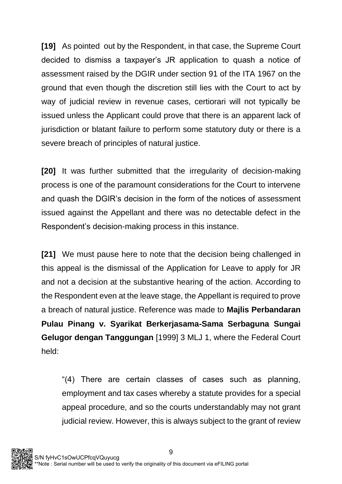**[19]** As pointed out by the Respondent, in that case, the Supreme Court decided to dismiss a taxpayer's JR application to quash a notice of assessment raised by the DGIR under section 91 of the ITA 1967 on the ground that even though the discretion still lies with the Court to act by way of judicial review in revenue cases, certiorari will not typically be issued unless the Applicant could prove that there is an apparent lack of jurisdiction or blatant failure to perform some statutory duty or there is a severe breach of principles of natural justice.

**[20]** It was further submitted that the irregularity of decision-making process is one of the paramount considerations for the Court to intervene and quash the DGIR's decision in the form of the notices of assessment issued against the Appellant and there was no detectable defect in the Respondent's decision-making process in this instance.

**[21]** We must pause here to note that the decision being challenged in this appeal is the dismissal of the Application for Leave to apply for JR and not a decision at the substantive hearing of the action. According to the Respondent even at the leave stage, the Appellant is required to prove a breach of natural justice. Reference was made to **Majlis Perbandaran Pulau Pinang v. Syarikat Berkerjasama-Sama Serbaguna Sungai Gelugor dengan Tanggungan** [1999] 3 MLJ 1, where the Federal Court held:

"(4) There are certain classes of cases such as planning, employment and tax cases whereby a statute provides for a special appeal procedure, and so the courts understandably may not grant judicial review. However, this is always subject to the grant of review

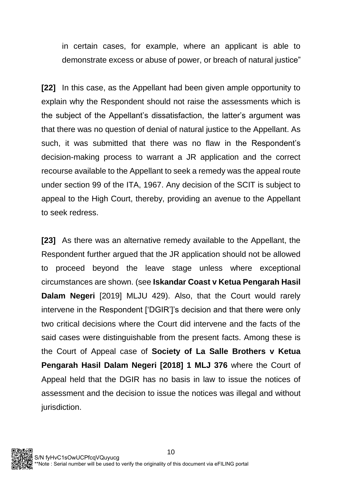in certain cases, for example, where an applicant is able to demonstrate excess or abuse of power, or breach of natural justice"

**[22]** In this case, as the Appellant had been given ample opportunity to explain why the Respondent should not raise the assessments which is the subject of the Appellant's dissatisfaction, the latter's argument was that there was no question of denial of natural justice to the Appellant. As such, it was submitted that there was no flaw in the Respondent's decision-making process to warrant a JR application and the correct recourse available to the Appellant to seek a remedy was the appeal route under section 99 of the ITA, 1967. Any decision of the SCIT is subject to appeal to the High Court, thereby, providing an avenue to the Appellant to seek redress.

**[23]** As there was an alternative remedy available to the Appellant, the Respondent further argued that the JR application should not be allowed to proceed beyond the leave stage unless where exceptional circumstances are shown. (see **Iskandar Coast v Ketua Pengarah Hasil Dalam Negeri** [2019] MLJU 429). Also, that the Court would rarely intervene in the Respondent ['DGIR']'s decision and that there were only two critical decisions where the Court did intervene and the facts of the said cases were distinguishable from the present facts. Among these is the Court of Appeal case of **Society of La Salle Brothers v Ketua Pengarah Hasil Dalam Negeri [2018] 1 MLJ 376** where the Court of Appeal held that the DGIR has no basis in law to issue the notices of assessment and the decision to issue the notices was illegal and without jurisdiction.

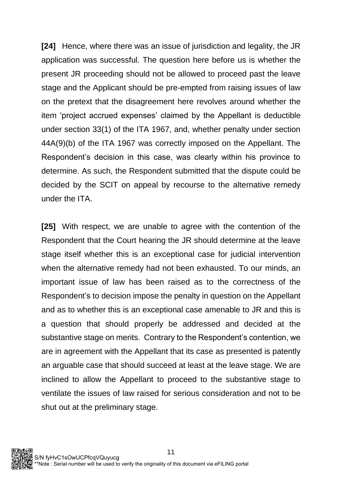**[24]** Hence, where there was an issue of jurisdiction and legality, the JR application was successful. The question here before us is whether the present JR proceeding should not be allowed to proceed past the leave stage and the Applicant should be pre-empted from raising issues of law on the pretext that the disagreement here revolves around whether the item 'project accrued expenses' claimed by the Appellant is deductible under section 33(1) of the ITA 1967, and, whether penalty under section 44A(9)(b) of the ITA 1967 was correctly imposed on the Appellant. The Respondent's decision in this case, was clearly within his province to determine. As such, the Respondent submitted that the dispute could be decided by the SCIT on appeal by recourse to the alternative remedy under the ITA.

**[25]** With respect, we are unable to agree with the contention of the Respondent that the Court hearing the JR should determine at the leave stage itself whether this is an exceptional case for judicial intervention when the alternative remedy had not been exhausted. To our minds, an important issue of law has been raised as to the correctness of the Respondent's to decision impose the penalty in question on the Appellant and as to whether this is an exceptional case amenable to JR and this is a question that should properly be addressed and decided at the substantive stage on merits. Contrary to the Respondent's contention, we are in agreement with the Appellant that its case as presented is patently an arguable case that should succeed at least at the leave stage. We are inclined to allow the Appellant to proceed to the substantive stage to ventilate the issues of law raised for serious consideration and not to be shut out at the preliminary stage.

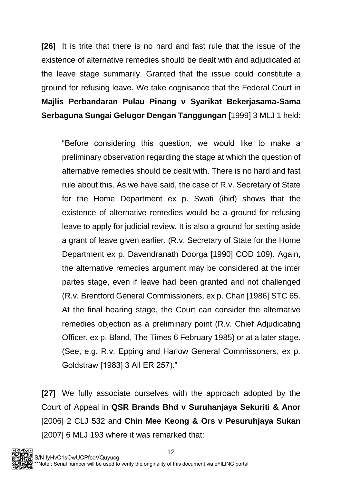**[26]** It is trite that there is no hard and fast rule that the issue of the existence of alternative remedies should be dealt with and adjudicated at the leave stage summarily. Granted that the issue could constitute a ground for refusing leave. We take cognisance that the Federal Court in **Majlis Perbandaran Pulau Pinang v Syarikat Bekerjasama-Sama Serbaguna Sungai Gelugor Dengan Tanggungan** [1999] 3 MLJ 1 held:

"Before considering this question, we would like to make a preliminary observation regarding the stage at which the question of alternative remedies should be dealt with. There is no hard and fast rule about this. As we have said, the case of R.v. Secretary of State for the Home Department ex p. Swati (ibid) shows that the existence of alternative remedies would be a ground for refusing leave to apply for judicial review. It is also a ground for setting aside a grant of leave given earlier. (R.v. Secretary of State for the Home Department ex p. Davendranath Doorga [1990] COD 109). Again, the alternative remedies argument may be considered at the inter partes stage, even if leave had been granted and not challenged (R.v. Brentford General Commissioners, ex p. Chan [1986] STC 65. At the final hearing stage, the Court can consider the alternative remedies objection as a preliminary point (R.v. Chief Adjudicating Officer, ex p. Bland, The Times 6 February 1985) or at a later stage. (See, e.g. R.v. Epping and Harlow General Commissoners, ex p. Goldstraw [1983] 3 All ER 257)."

**[27]** We fully associate ourselves with the approach adopted by the Court of Appeal in **QSR Brands Bhd v Suruhanjaya Sekuriti & Anor** [2006] 2 CLJ 532 and **Chin Mee Keong & Ors v Pesuruhjaya Sukan** [2007] 6 MLJ 193 where it was remarked that:

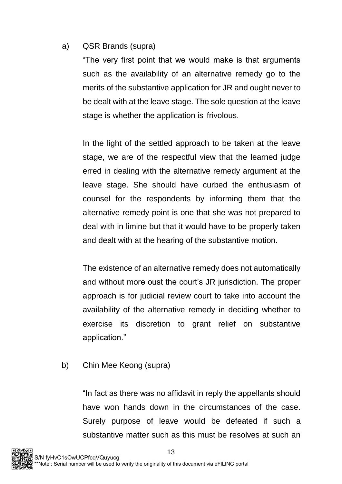#### a) QSR Brands (supra)

"The very first point that we would make is that arguments such as the availability of an alternative remedy go to the merits of the substantive application for JR and ought never to be dealt with at the leave stage. The sole question at the leave stage is whether the application is frivolous.

In the light of the settled approach to be taken at the leave stage, we are of the respectful view that the learned judge erred in dealing with the alternative remedy argument at the leave stage. She should have curbed the enthusiasm of counsel for the respondents by informing them that the alternative remedy point is one that she was not prepared to deal with in limine but that it would have to be properly taken and dealt with at the hearing of the substantive motion.

The existence of an alternative remedy does not automatically and without more oust the court's JR jurisdiction. The proper approach is for judicial review court to take into account the availability of the alternative remedy in deciding whether to exercise its discretion to grant relief on substantive application."

b) Chin Mee Keong (supra)

"In fact as there was no affidavit in reply the appellants should have won hands down in the circumstances of the case. Surely purpose of leave would be defeated if such a substantive matter such as this must be resolves at such an

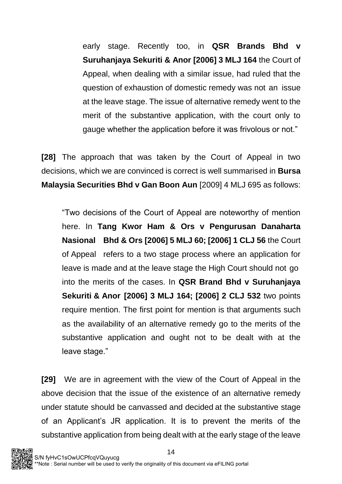early stage. Recently too, in **QSR Brands Bhd v Suruhanjaya Sekuriti & Anor [2006] 3 MLJ 164** the Court of Appeal, when dealing with a similar issue, had ruled that the question of exhaustion of domestic remedy was not an issue at the leave stage. The issue of alternative remedy went to the merit of the substantive application, with the court only to gauge whether the application before it was frivolous or not."

**[28]** The approach that was taken by the Court of Appeal in two decisions, which we are convinced is correct is well summarised in **Bursa Malaysia Securities Bhd v Gan Boon Aun** [2009] 4 MLJ 695 as follows:

"Two decisions of the Court of Appeal are noteworthy of mention here. In **Tang Kwor Ham & Ors v Pengurusan Danaharta Nasional Bhd & Ors [2006] 5 MLJ 60; [2006] 1 CLJ 56** the Court of Appeal refers to a two stage process where an application for leave is made and at the leave stage the High Court should not go into the merits of the cases. In **QSR Brand Bhd v Suruhanjaya Sekuriti & Anor [2006] 3 MLJ 164; [2006] 2 CLJ 532** two points require mention. The first point for mention is that arguments such as the availability of an alternative remedy go to the merits of the substantive application and ought not to be dealt with at the leave stage."

**[29]** We are in agreement with the view of the Court of Appeal in the above decision that the issue of the existence of an alternative remedy under statute should be canvassed and decided at the substantive stage of an Applicant's JR application. It is to prevent the merits of the substantive application from being dealt with at the early stage of the leave

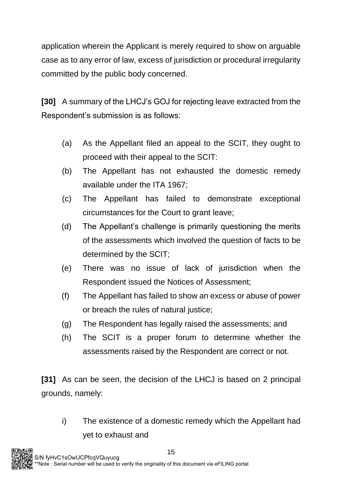application wherein the Applicant is merely required to show on arguable case as to any error of law, excess of jurisdiction or procedural irregularity committed by the public body concerned.

**[30]** A summary of the LHCJ's GOJ for rejecting leave extracted from the Respondent's submission is as follows:

- (a) As the Appellant filed an appeal to the SCIT, they ought to proceed with their appeal to the SCIT:
- (b) The Appellant has not exhausted the domestic remedy available under the ITA 1967;
- (c) The Appellant has failed to demonstrate exceptional circumstances for the Court to grant leave;
- (d) The Appellant's challenge is primarily questioning the merits of the assessments which involved the question of facts to be determined by the SCIT;
- (e) There was no issue of lack of jurisdiction when the Respondent issued the Notices of Assessment;
- (f) The Appellant has failed to show an excess or abuse of power or breach the rules of natural justice;
- (g) The Respondent has legally raised the assessments; and
- (h) The SCIT is a proper forum to determine whether the assessments raised by the Respondent are correct or not.

**[31]** As can be seen, the decision of the LHCJ is based on 2 principal grounds, namely:

i) The existence of a domestic remedy which the Appellant had yet to exhaust and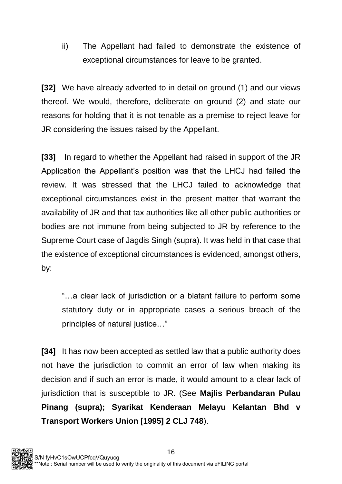ii) The Appellant had failed to demonstrate the existence of exceptional circumstances for leave to be granted.

**[32]** We have already adverted to in detail on ground (1) and our views thereof. We would, therefore, deliberate on ground (2) and state our reasons for holding that it is not tenable as a premise to reject leave for JR considering the issues raised by the Appellant.

**[33]** In regard to whether the Appellant had raised in support of the JR Application the Appellant's position was that the LHCJ had failed the review. It was stressed that the LHCJ failed to acknowledge that exceptional circumstances exist in the present matter that warrant the availability of JR and that tax authorities like all other public authorities or bodies are not immune from being subjected to JR by reference to the Supreme Court case of Jagdis Singh (supra). It was held in that case that the existence of exceptional circumstances is evidenced, amongst others, by:

"…a clear lack of jurisdiction or a blatant failure to perform some statutory duty or in appropriate cases a serious breach of the principles of natural justice…"

**[34]** It has now been accepted as settled law that a public authority does not have the jurisdiction to commit an error of law when making its decision and if such an error is made, it would amount to a clear lack of jurisdiction that is susceptible to JR. (See **Majlis Perbandaran Pulau Pinang (supra); Syarikat Kenderaan Melayu Kelantan Bhd v Transport Workers Union [1995] 2 CLJ 748**).

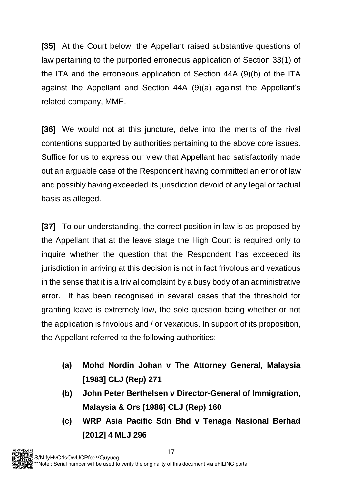**[35]** At the Court below, the Appellant raised substantive questions of law pertaining to the purported erroneous application of Section 33(1) of the ITA and the erroneous application of Section 44A (9)(b) of the ITA against the Appellant and Section 44A (9)(a) against the Appellant's related company, MME.

**[36]** We would not at this juncture, delve into the merits of the rival contentions supported by authorities pertaining to the above core issues. Suffice for us to express our view that Appellant had satisfactorily made out an arguable case of the Respondent having committed an error of law and possibly having exceeded its jurisdiction devoid of any legal or factual basis as alleged.

**[37]** To our understanding, the correct position in law is as proposed by the Appellant that at the leave stage the High Court is required only to inquire whether the question that the Respondent has exceeded its jurisdiction in arriving at this decision is not in fact frivolous and vexatious in the sense that it is a trivial complaint by a busy body of an administrative error. It has been recognised in several cases that the threshold for granting leave is extremely low, the sole question being whether or not the application is frivolous and / or vexatious. In support of its proposition, the Appellant referred to the following authorities:

- **(a) Mohd Nordin Johan v The Attorney General, Malaysia [1983] CLJ (Rep) 271**
- **(b) John Peter Berthelsen v Director-General of Immigration, Malaysia & Ors [1986] CLJ (Rep) 160**
- **(c) WRP Asia Pacific Sdn Bhd v Tenaga Nasional Berhad [2012] 4 MLJ 296**

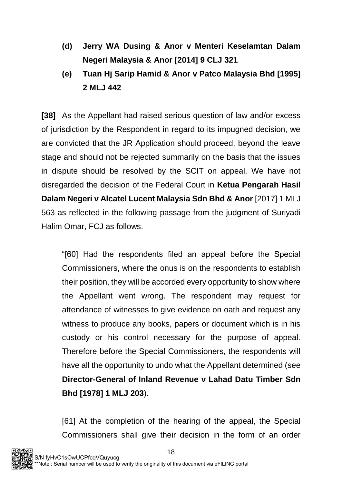- **(d) Jerry WA Dusing & Anor v Menteri Keselamtan Dalam Negeri Malaysia & Anor [2014] 9 CLJ 321**
- **(e) Tuan Hj Sarip Hamid & Anor v Patco Malaysia Bhd [1995] 2 MLJ 442**

**[38]** As the Appellant had raised serious question of law and/or excess of jurisdiction by the Respondent in regard to its impugned decision, we are convicted that the JR Application should proceed, beyond the leave stage and should not be rejected summarily on the basis that the issues in dispute should be resolved by the SCIT on appeal. We have not disregarded the decision of the Federal Court in **Ketua Pengarah Hasil Dalam Negeri v Alcatel Lucent Malaysia Sdn Bhd & Anor** [2017] 1 MLJ 563 as reflected in the following passage from the judgment of Suriyadi Halim Omar, FCJ as follows.

"[60] Had the respondents filed an appeal before the Special Commissioners, where the onus is on the respondents to establish their position, they will be accorded every opportunity to show where the Appellant went wrong. The respondent may request for attendance of witnesses to give evidence on oath and request any witness to produce any books, papers or document which is in his custody or his control necessary for the purpose of appeal. Therefore before the Special Commissioners, the respondents will have all the opportunity to undo what the Appellant determined (see **Director-General of Inland Revenue v Lahad Datu Timber Sdn Bhd [1978] 1 MLJ 203**).

[61] At the completion of the hearing of the appeal, the Special Commissioners shall give their decision in the form of an order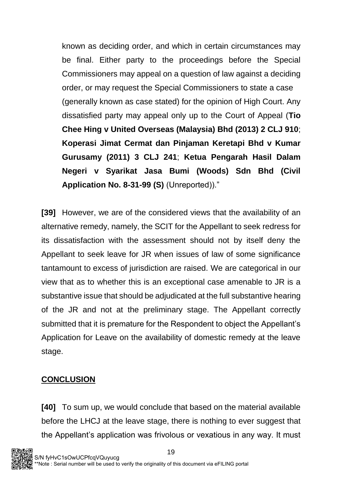known as deciding order, and which in certain circumstances may be final. Either party to the proceedings before the Special Commissioners may appeal on a question of law against a deciding order, or may request the Special Commissioners to state a case (generally known as case stated) for the opinion of High Court. Any dissatisfied party may appeal only up to the Court of Appeal (**Tio Chee Hing v United Overseas (Malaysia) Bhd (2013) 2 CLJ 910**; **Koperasi Jimat Cermat dan Pinjaman Keretapi Bhd v Kumar Gurusamy (2011) 3 CLJ 241**; **Ketua Pengarah Hasil Dalam Negeri v Syarikat Jasa Bumi (Woods) Sdn Bhd (Civil Application No. 8-31-99 (S)** (Unreported))."

**[39]** However, we are of the considered views that the availability of an alternative remedy, namely, the SCIT for the Appellant to seek redress for its dissatisfaction with the assessment should not by itself deny the Appellant to seek leave for JR when issues of law of some significance tantamount to excess of jurisdiction are raised. We are categorical in our view that as to whether this is an exceptional case amenable to JR is a substantive issue that should be adjudicated at the full substantive hearing of the JR and not at the preliminary stage. The Appellant correctly submitted that it is premature for the Respondent to object the Appellant's Application for Leave on the availability of domestic remedy at the leave stage.

#### **CONCLUSION**

**[40]** To sum up, we would conclude that based on the material available before the LHCJ at the leave stage, there is nothing to ever suggest that the Appellant's application was frivolous or vexatious in any way. It must

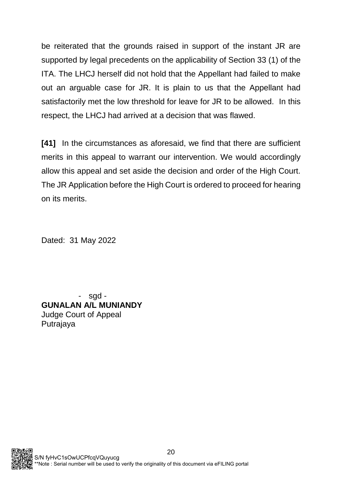be reiterated that the grounds raised in support of the instant JR are supported by legal precedents on the applicability of Section 33 (1) of the ITA. The LHCJ herself did not hold that the Appellant had failed to make out an arguable case for JR. It is plain to us that the Appellant had satisfactorily met the low threshold for leave for JR to be allowed. In this respect, the LHCJ had arrived at a decision that was flawed.

**[41]** In the circumstances as aforesaid, we find that there are sufficient merits in this appeal to warrant our intervention. We would accordingly allow this appeal and set aside the decision and order of the High Court. The JR Application before the High Court is ordered to proceed for hearing on its merits.

Dated: 31 May 2022

- sgd - **GUNALAN A/L MUNIANDY** Judge Court of Appeal Putrajaya